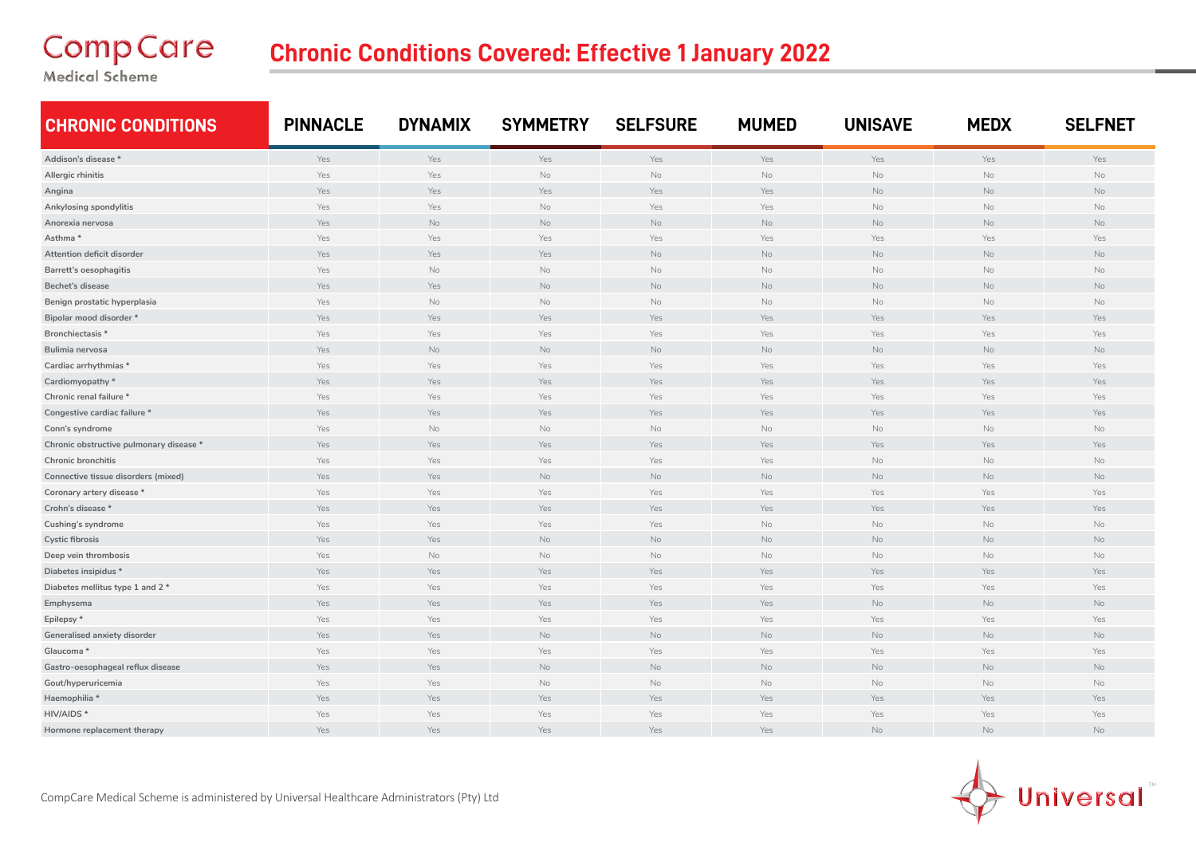## **CompCare**

## **Chronic Conditions Covered: Effective 1 January 2022**

Medical Scheme

| <b>CHRONIC CONDITIONS</b>               | <b>PINNACLE</b> | <b>DYNAMIX</b> | <b>SYMMETRY</b> | <b>SELFSURE</b> | <b>MUMED</b> | <b>UNISAVE</b> | <b>MEDX</b> | <b>SELFNET</b> |
|-----------------------------------------|-----------------|----------------|-----------------|-----------------|--------------|----------------|-------------|----------------|
| Addison's disease *                     | Yes             | Yes            | Yes             | Yes             | Yes          | Yes            | Yes         | Yes            |
| Allergic rhinitis                       | Yes             | Yes            | No              | No              | No           | No             | No          | <b>No</b>      |
| Angina                                  | Yes             | Yes            | Yes             | Yes             | Yes          | No             | No          | No             |
| Ankylosing spondylitis                  | Yes             | Yes            | No              | Yes             | Yes          | No             | No          | No             |
| Anorexia nervosa                        | Yes             | No             | No              | No              | No           | No             | No          | No.            |
| Asthma*                                 | Yes             | Yes            | Yes             | Yes             | Yes          | Yes            | Yes         | Yes            |
| Attention deficit disorder              | Yes             | Yes            | Yes             | No              | No           | $\rm No$       | No          | No             |
| Barrett's oesophagitis                  | Yes             | No             | No              | No              | No           | No             | No          | $\mathsf{No}$  |
| Bechet's disease                        | Yes             | Yes            | No              | No              | No           | No             | No          | No             |
| Benign prostatic hyperplasia            | Yes             | No             | No              | No              | No           | No             | No          | No             |
| Bipolar mood disorder *                 | Yes             | Yes            | Yes             | Yes             | Yes          | Yes            | Yes         | Yes            |
| Bronchiectasis <sup>*</sup>             | Yes             | Yes            | Yes             | Yes             | Yes          | Yes            | Yes         | Yes            |
| Bulimia nervosa                         | Yes             | No             | No              | No              | No           | No             | No          | No             |
| Cardiac arrhythmias *                   | Yes             | Yes            | Yes             | Yes             | Yes          | Yes            | Yes         | Yes            |
| Cardiomyopathy*                         | Yes             | Yes            | Yes             | Yes             | Yes          | Yes            | Yes         | Yes            |
| Chronic renal failure *                 | Yes             | Yes            | Yes             | Yes             | Yes          | Yes            | Yes         | Yes            |
| Congestive cardiac failure *            | Yes             | Yes            | Yes             | Yes             | Yes          | Yes            | Yes         | Yes            |
| Conn's syndrome                         | Yes             | No             | No              | No              | No           | No             | No          | No             |
| Chronic obstructive pulmonary disease * | Yes             | Yes            | Yes             | Yes             | Yes          | Yes            | Yes         | Yes            |
| <b>Chronic bronchitis</b>               | Yes             | Yes            | Yes             | Yes             | Yes          | No             | No          | No             |
| Connective tissue disorders (mixed)     | Yes             | Yes            | No              | No              | No           | No             | No          | No             |
| Coronary artery disease *               | Yes             | Yes            | Yes             | Yes             | Yes          | Yes            | Yes         | Yes            |
| Crohn's disease *                       | Yes             | Yes            | Yes             | Yes             | Yes          | Yes            | Yes         | Yes            |
| Cushing's syndrome                      | Yes             | Yes            | Yes             | Yes             | No           | No             | No          | No             |
| <b>Cystic fibrosis</b>                  | Yes             | Yes            | <b>No</b>       | No              | No           | No             | No          | No             |
| Deep vein thrombosis                    | Yes             | No             | No              | No              | No           | No             | No          | No             |
| Diabetes insipidus *                    | Yes             | Yes            | Yes             | Yes             | Yes          | Yes            | Yes         | Yes            |
| Diabetes mellitus type 1 and 2 *        | Yes             | Yes            | Yes             | Yes             | Yes          | Yes            | Yes         | Yes            |
| Emphysema                               | Yes             | Yes            | Yes             | Yes             | Yes          | No             | No          | No             |
| Epilepsy*                               | Yes             | Yes            | Yes             | Yes             | Yes          | Yes            | Yes         | Yes            |
| Generalised anxiety disorder            | Yes             | Yes            | No              | No              | No           | No             | No          | No             |
| Glaucoma *                              | Yes             | Yes            | Yes             | Yes             | Yes          | Yes            | Yes         | Yes            |
| Gastro-oesophageal reflux disease       | Yes             | Yes            | No              | No              | No           | No             | No          | No             |
| Gout/hyperuricemia                      | Yes             | Yes            | No              | No              | No           | No             | No          | No             |
| Haemophilia *                           | Yes             | Yes            | Yes             | Yes             | Yes          | Yes            | Yes         | Yes            |
| HIV/AIDS*                               | Yes             | Yes            | Yes             | Yes             | Yes          | Yes            | Yes         | Yes            |
| Hormone replacement therapy             | Yes             | Yes            | Yes             | Yes             | Yes          | No             | No          | No             |